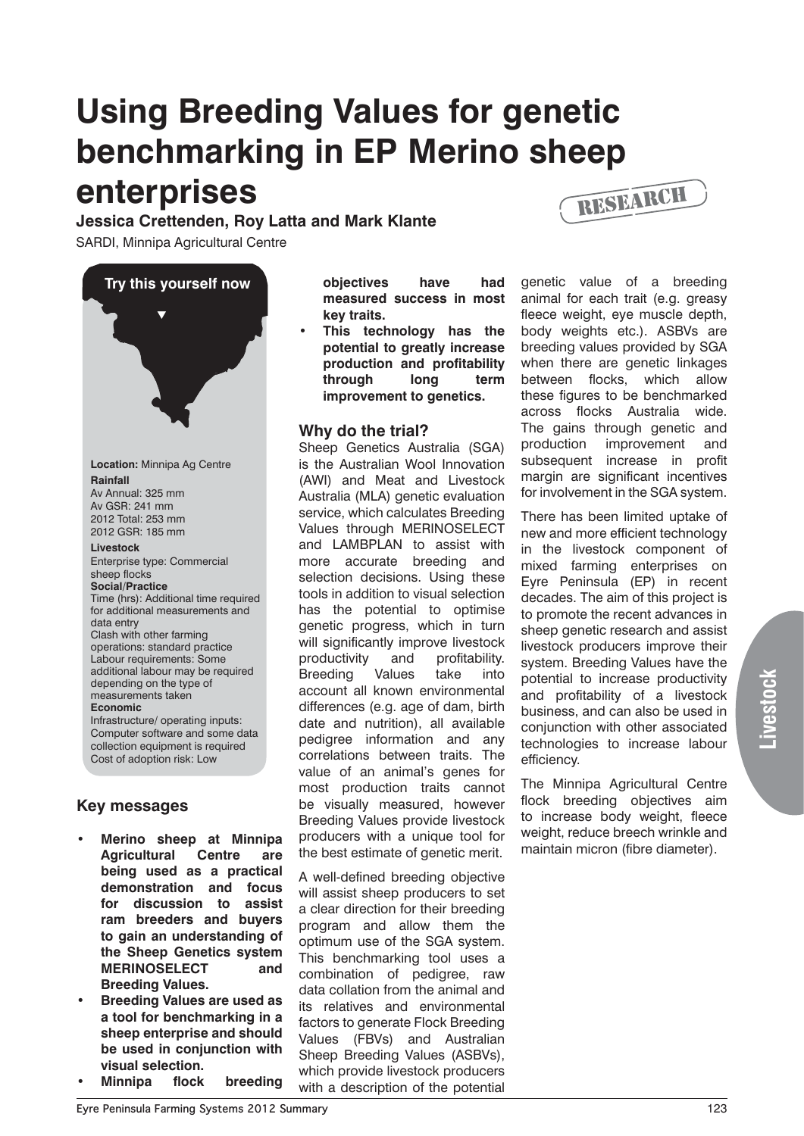# **Using Breeding Values for genetic benchmarking in EP Merino sheep enterprises**

**Jessica Crettenden, Roy Latta and Mark Klante**

SARDI, Minnipa Agricultural Centre



# **Key messages**

- **Merino sheep at Minnipa Agricultural Centre are being used as a practical demonstration and focus for discussion to assist ram breeders and buyers to gain an understanding of the Sheep Genetics system MERINOSELECT and Breeding Values.**
- **Breeding Values are used as a tool for benchmarking in a sheep enterprise and should be used in conjunction with visual selection.**
- **Minnipa flock breeding**

**objectives have had measured success in most key traits.**

This technology has the **potential to greatly increase production and profitability through long term improvement to genetics.**

## **Why do the trial?**

Sheep Genetics Australia (SGA) is the Australian Wool Innovation (AWI) and Meat and Livestock Australia (MLA) genetic evaluation service, which calculates Breeding Values through MERINOSELECT and LAMBPLAN to assist with more accurate breeding and selection decisions. Using these tools in addition to visual selection has the potential to optimise genetic progress, which in turn will significantly improve livestock productivity and profitability. Breeding Values take into account all known environmental differences (e.g. age of dam, birth date and nutrition), all available pedigree information and any correlations between traits. The value of an animal's genes for most production traits cannot be visually measured, however Breeding Values provide livestock producers with a unique tool for the best estimate of genetic merit.

A well-defined breeding objective will assist sheep producers to set a clear direction for their breeding program and allow them the optimum use of the SGA system. This benchmarking tool uses a combination of pedigree, raw data collation from the animal and its relatives and environmental factors to generate Flock Breeding Values (FBVs) and Australian Sheep Breeding Values (ASBVs), which provide livestock producers with a description of the potential



genetic value of a breeding animal for each trait (e.g. greasy fleece weight, eye muscle depth, body weights etc.). ASBVs are breeding values provided by SGA when there are genetic linkages between flocks, which allow these figures to be benchmarked across flocks Australia wide. The gains through genetic and production improvement and subsequent increase in profit margin are significant incentives for involvement in the SGA system.

There has been limited uptake of new and more efficient technology in the livestock component of mixed farming enterprises on Eyre Peninsula (EP) in recent decades. The aim of this project is to promote the recent advances in sheep genetic research and assist livestock producers improve their system. Breeding Values have the potential to increase productivity and profitability of a livestock business, and can also be used in conjunction with other associated technologies to increase labour efficiency.

The Minnipa Agricultural Centre flock breeding objectives aim to increase body weight, fleece weight, reduce breech wrinkle and maintain micron (fibre diameter).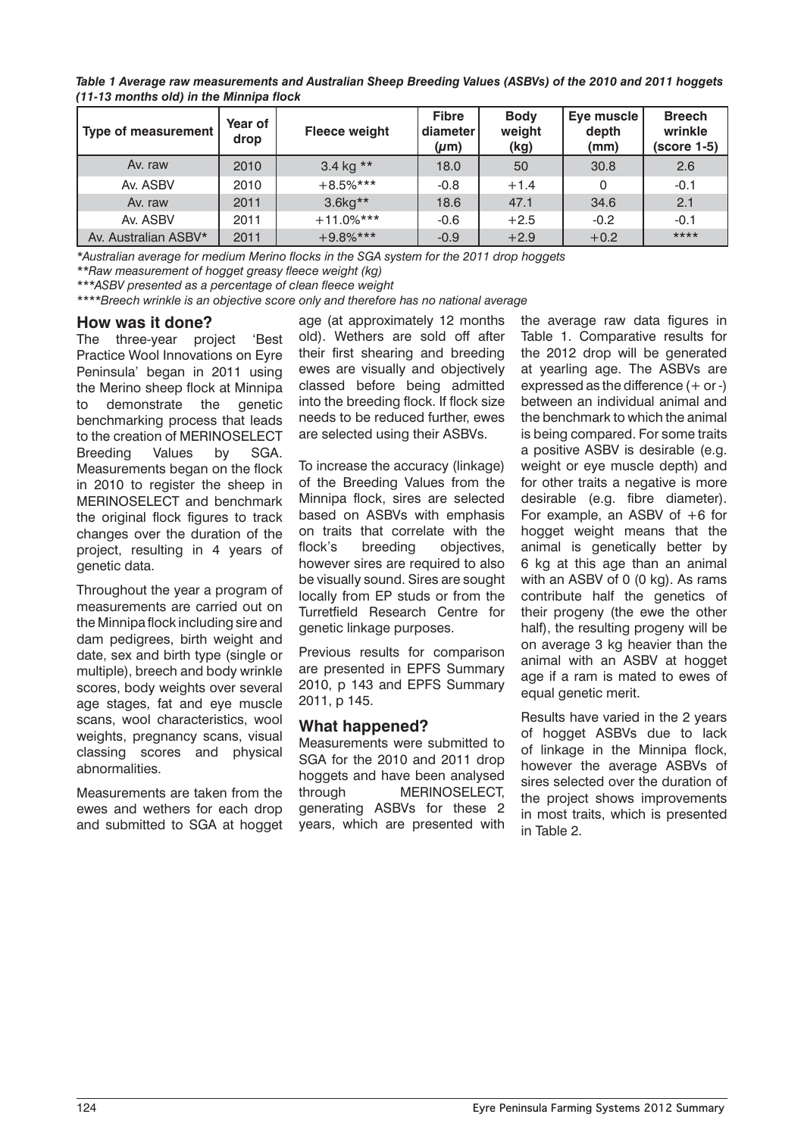*Table 1 Average raw measurements and Australian Sheep Breeding Values (ASBVs) of the 2010 and 2011 hoggets (11-13 months old) in the Minnipa flock*

| Type of measurement  | Year of<br>drop | <b>Fleece weight</b> | <b>Fibre</b><br>diameter<br>$(\mu m)$ | <b>Body</b><br>weight<br>(kg) | Eye muscle<br>depth<br>(mm) | <b>Breech</b><br>wrinkle<br>(score 1-5) |
|----------------------|-----------------|----------------------|---------------------------------------|-------------------------------|-----------------------------|-----------------------------------------|
| Av. raw              | 2010            | 3.4 kg $**$          | 18.0                                  | 50                            | 30.8                        | 2.6                                     |
| Av. ASBV             | 2010            | $+8.5%$ ***          | $-0.8$                                | $+1.4$                        | 0                           | $-0.1$                                  |
| Av. raw              | 2011            | $3.6kg**$            | 18.6                                  | 47.1                          | 34.6                        | 2.1                                     |
| Av. ASBV             | 2011            | $+11.0\%$ ***        | $-0.6$                                | $+2.5$                        | $-0.2$                      | $-0.1$                                  |
| Av. Australian ASBV* | 2011            | $+9.8%***$           | $-0.9$                                | $+2.9$                        | $+0.2$                      | ****                                    |

*\*Australian average for medium Merino flocks in the SGA system for the 2011 drop hoggets*

*\*\*Raw measurement of hogget greasy fleece weight (kg)*

*\*\*\*ASBV presented as a percentage of clean fleece weight*

*\*\*\*\*Breech wrinkle is an objective score only and therefore has no national average*

#### **How was it done?**

The three-year project 'Best Practice Wool Innovations on Eyre Peninsula' began in 2011 using the Merino sheep flock at Minnipa to demonstrate the genetic benchmarking process that leads to the creation of MERINOSELECT Breeding Values by SGA. Measurements began on the flock in 2010 to register the sheep in MERINOSELECT and benchmark the original flock figures to track changes over the duration of the project, resulting in 4 years of genetic data.

Throughout the year a program of measurements are carried out on the Minnipa flock including sire and dam pedigrees, birth weight and date, sex and birth type (single or multiple), breech and body wrinkle scores, body weights over several age stages, fat and eye muscle scans, wool characteristics, wool weights, pregnancy scans, visual classing scores and physical abnormalities.

Measurements are taken from the ewes and wethers for each drop and submitted to SGA at hogget age (at approximately 12 months old). Wethers are sold off after their first shearing and breeding ewes are visually and objectively classed before being admitted into the breeding flock. If flock size needs to be reduced further, ewes are selected using their ASBVs.

To increase the accuracy (linkage) of the Breeding Values from the Minnipa flock, sires are selected based on ASBVs with emphasis on traits that correlate with the flock's breeding objectives, however sires are required to also be visually sound. Sires are sought locally from EP studs or from the Turretfield Research Centre for genetic linkage purposes.

Previous results for comparison are presented in EPFS Summary 2010, p 143 and EPFS Summary 2011, p 145.

#### **What happened?**

Measurements were submitted to SGA for the 2010 and 2011 drop hoggets and have been analysed through MERINOSELECT, generating ASBVs for these 2 years, which are presented with the average raw data figures in Table 1. Comparative results for the 2012 drop will be generated at yearling age. The ASBVs are expressed as the difference  $(+)$  or  $-)$ between an individual animal and the benchmark to which the animal is being compared. For some traits a positive ASBV is desirable (e.g. weight or eye muscle depth) and for other traits a negative is more desirable (e.g. fibre diameter). For example, an ASBV of +6 for hogget weight means that the animal is genetically better by 6 kg at this age than an animal with an ASBV of 0 (0 kg). As rams contribute half the genetics of their progeny (the ewe the other half), the resulting progeny will be on average 3 kg heavier than the animal with an ASBV at hogget age if a ram is mated to ewes of equal genetic merit.

Results have varied in the 2 years of hogget ASBVs due to lack of linkage in the Minnipa flock, however the average ASBVs of sires selected over the duration of the project shows improvements in most traits, which is presented in Table 2.